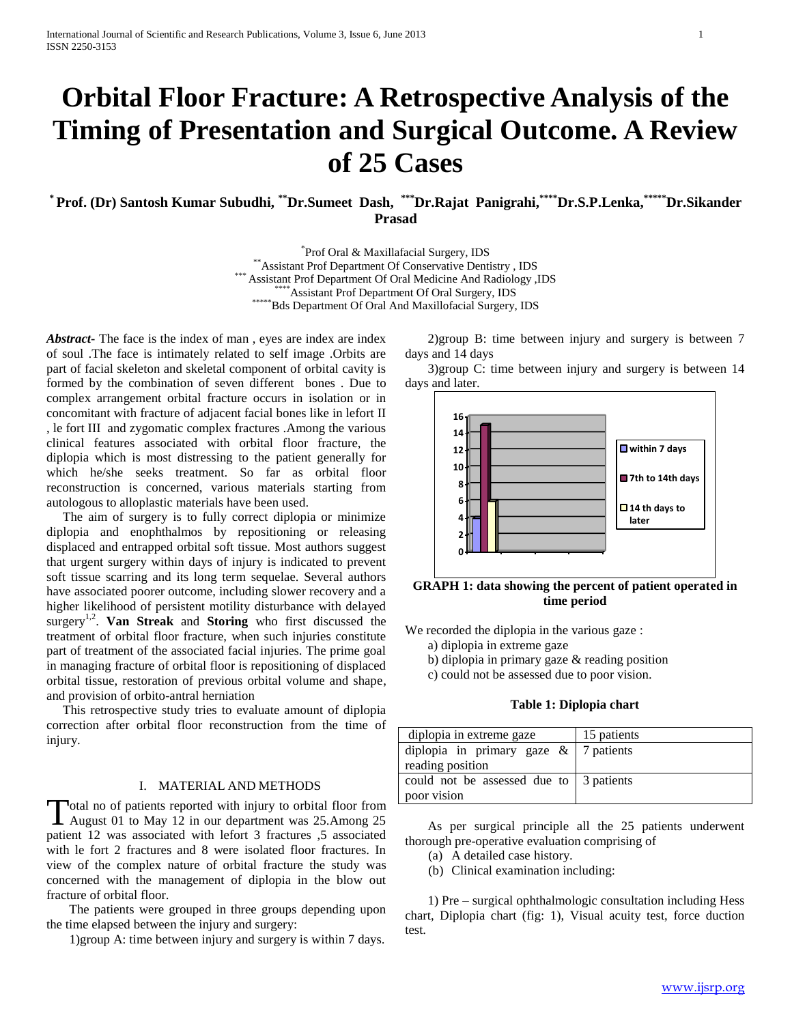# **Orbital Floor Fracture: A Retrospective Analysis of the Timing of Presentation and Surgical Outcome. A Review of 25 Cases**

**\* Prof. (Dr) Santosh Kumar Subudhi, \*\*Dr.Sumeet Dash, \*\*\*Dr.Rajat Panigrahi,\*\*\*\*Dr.S.P.Lenka,\*\*\*\*\*Dr.Sikander Prasad**

> \* Prof Oral & Maxillafacial Surgery, IDS \*\*Assistant Prof Department Of Conservative Dentistry , IDS Assistant Prof Department Of Oral Medicine And Radiology ,IDS \*\*\*\*Assistant Prof Department Of Oral Surgery, IDS \*\*\*\*\*\*Bds Department Of Oral And Maxillofacial Surgery, IDS

*Abstract***-** The face is the index of man , eyes are index are index of soul .The face is intimately related to self image .Orbits are part of facial skeleton and skeletal component of orbital cavity is formed by the combination of seven different bones . Due to complex arrangement orbital fracture occurs in isolation or in concomitant with fracture of adjacent facial bones like in lefort II , le fort III and zygomatic complex fractures .Among the various clinical features associated with orbital floor fracture, the diplopia which is most distressing to the patient generally for which he/she seeks treatment. So far as orbital floor reconstruction is concerned, various materials starting from autologous to alloplastic materials have been used.

 The aim of surgery is to fully correct diplopia or minimize diplopia and enophthalmos by repositioning or releasing displaced and entrapped orbital soft tissue. Most authors suggest that urgent surgery within days of injury is indicated to prevent soft tissue scarring and its long term sequelae. Several authors have associated poorer outcome, including slower recovery and a higher likelihood of persistent motility disturbance with delayed surgery<sup>1,2</sup>. Van Streak and Storing who first discussed the treatment of orbital floor fracture, when such injuries constitute part of treatment of the associated facial injuries. The prime goal in managing fracture of orbital floor is repositioning of displaced orbital tissue, restoration of previous orbital volume and shape, and provision of orbito-antral herniation

 This retrospective study tries to evaluate amount of diplopia correction after orbital floor reconstruction from the time of injury.

## I. MATERIAL AND METHODS

otal no of patients reported with injury to orbital floor from Total no of patients reported with injury to orbital floor from<br>August 01 to May 12 in our department was 25.Among 25 patient 12 was associated with lefort 3 fractures ,5 associated with le fort 2 fractures and 8 were isolated floor fractures. In view of the complex nature of orbital fracture the study was concerned with the management of diplopia in the blow out fracture of orbital floor.

 The patients were grouped in three groups depending upon the time elapsed between the injury and surgery:

1)group A: time between injury and surgery is within 7 days.

 2)group B: time between injury and surgery is between 7 days and 14 days

 3)group C: time between injury and surgery is between 14 days and later.



**GRAPH 1: data showing the percent of patient operated in time period**

We recorded the diplopia in the various gaze :

- a) diplopia in extreme gaze
- b) diplopia in primary gaze & reading position
- c) could not be assessed due to poor vision.

## **Table 1: Diplopia chart**

| diplopia in extreme gaze                 | 15 patients |
|------------------------------------------|-------------|
| diplopia in primary gaze $\&$ 7 patients |             |
| reading position                         |             |
| could not be assessed due to 3 patients  |             |
| poor vision                              |             |

 As per surgical principle all the 25 patients underwent thorough pre-operative evaluation comprising of

- (a) A detailed case history.
- (b) Clinical examination including:

 1) Pre – surgical ophthalmologic consultation including Hess chart, Diplopia chart (fig: 1), Visual acuity test, force duction test.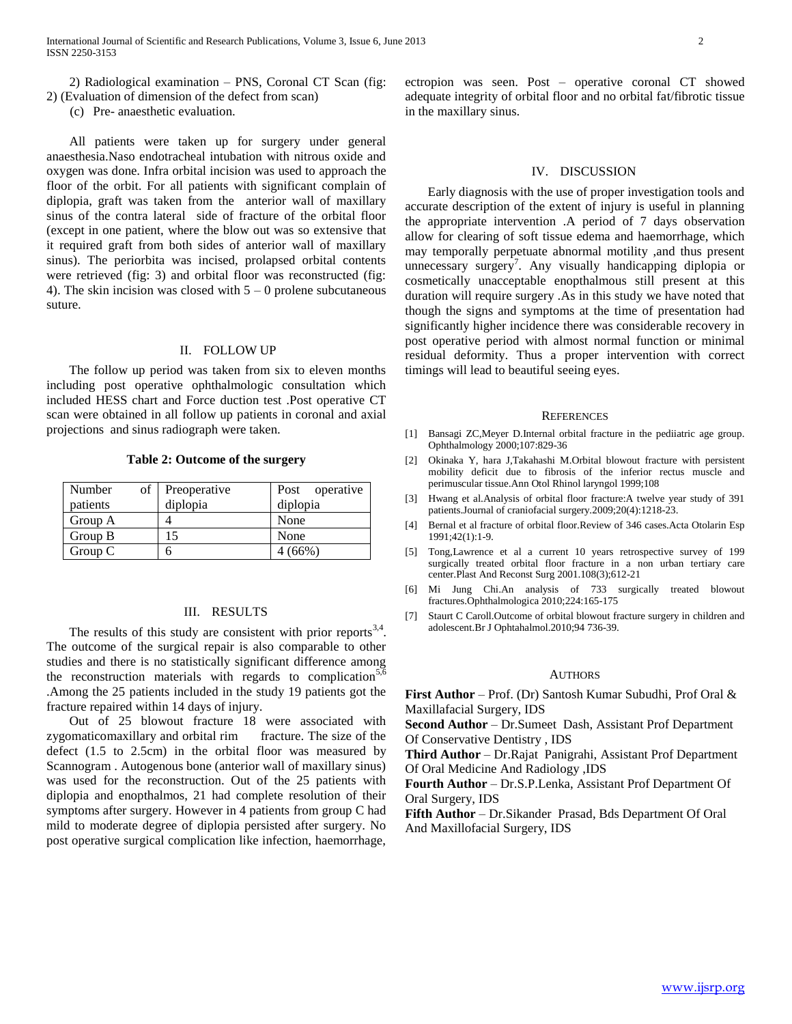2) Radiological examination – PNS, Coronal CT Scan (fig: 2) (Evaluation of dimension of the defect from scan)

(c) Pre- anaesthetic evaluation.

 All patients were taken up for surgery under general anaesthesia.Naso endotracheal intubation with nitrous oxide and oxygen was done. Infra orbital incision was used to approach the floor of the orbit. For all patients with significant complain of diplopia, graft was taken from the anterior wall of maxillary sinus of the contra lateral side of fracture of the orbital floor (except in one patient, where the blow out was so extensive that it required graft from both sides of anterior wall of maxillary sinus). The periorbita was incised, prolapsed orbital contents were retrieved (fig: 3) and orbital floor was reconstructed (fig: 4). The skin incision was closed with  $5 - 0$  prolene subcutaneous suture.

## II. FOLLOW UP

 The follow up period was taken from six to eleven months including post operative ophthalmologic consultation which included HESS chart and Force duction test .Post operative CT scan were obtained in all follow up patients in coronal and axial projections and sinus radiograph were taken.

**Table 2: Outcome of the surgery**

| Number<br>patients | of | Preoperative<br>diplopia | Post operative<br>diplopia |
|--------------------|----|--------------------------|----------------------------|
| Group A            |    |                          | None                       |
| Group B            |    |                          | None                       |
| Group $C$          |    |                          | $(66\%)$                   |

## III. RESULTS

The results of this study are consistent with prior reports  $3,4$ . The outcome of the surgical repair is also comparable to other studies and there is no statistically significant difference among the reconstruction materials with regards to complication<sup>5,6</sup> .Among the 25 patients included in the study 19 patients got the fracture repaired within 14 days of injury.

 Out of 25 blowout fracture 18 were associated with zygomaticomaxillary and orbital rim fracture. The size of the defect (1.5 to 2.5cm) in the orbital floor was measured by Scannogram . Autogenous bone (anterior wall of maxillary sinus) was used for the reconstruction. Out of the 25 patients with diplopia and enopthalmos, 21 had complete resolution of their symptoms after surgery. However in 4 patients from group C had mild to moderate degree of diplopia persisted after surgery. No post operative surgical complication like infection, haemorrhage,

ectropion was seen. Post – operative coronal CT showed adequate integrity of orbital floor and no orbital fat/fibrotic tissue in the maxillary sinus.

### IV. DISCUSSION

 Early diagnosis with the use of proper investigation tools and accurate description of the extent of injury is useful in planning the appropriate intervention .A period of 7 days observation allow for clearing of soft tissue edema and haemorrhage, which may temporally perpetuate abnormal motility ,and thus present unnecessary surgery<sup>7</sup>. Any visually handicapping diplopia or cosmetically unacceptable enopthalmous still present at this duration will require surgery .As in this study we have noted that though the signs and symptoms at the time of presentation had significantly higher incidence there was considerable recovery in post operative period with almost normal function or minimal residual deformity. Thus a proper intervention with correct timings will lead to beautiful seeing eyes.

#### **REFERENCES**

- [1] Bansagi ZC,Meyer D.Internal orbital fracture in the pediiatric age group. Ophthalmology 2000;107:829-36
- [2] Okinaka Y, hara J,Takahashi M.Orbital blowout fracture with persistent mobility deficit due to fibrosis of the inferior rectus muscle and perimuscular tissue.Ann Otol Rhinol laryngol 1999;108
- [3] Hwang et al.Analysis of orbital floor fracture:A twelve year study of 391 patients.Journal of craniofacial surgery.2009;20(4):1218-23.
- [4] Bernal et al fracture of orbital floor.Review of 346 cases.Acta Otolarin Esp 1991;42(1):1-9.
- [5] Tong,Lawrence et al a current 10 years retrospective survey of 199 surgically treated orbital floor fracture in a non urban tertiary care center.Plast And Reconst Surg 2001.108(3);612-21
- [6] Mi Jung Chi.An analysis of 733 surgically treated blowout fractures.Ophthalmologica 2010;224:165-175
- [7] Staurt C Caroll.Outcome of orbital blowout fracture surgery in children and adolescent.Br J Ophtahalmol.2010;94 736-39.

#### AUTHORS

**First Author** – Prof. (Dr) Santosh Kumar Subudhi, Prof Oral & Maxillafacial Surgery, IDS

**Second Author** – Dr.Sumeet Dash, Assistant Prof Department Of Conservative Dentistry , IDS

**Third Author** – Dr.Rajat Panigrahi, Assistant Prof Department Of Oral Medicine And Radiology ,IDS

**Fourth Author** – Dr.S.P.Lenka, Assistant Prof Department Of Oral Surgery, IDS

**Fifth Author** – Dr.Sikander Prasad, Bds Department Of Oral And Maxillofacial Surgery, IDS